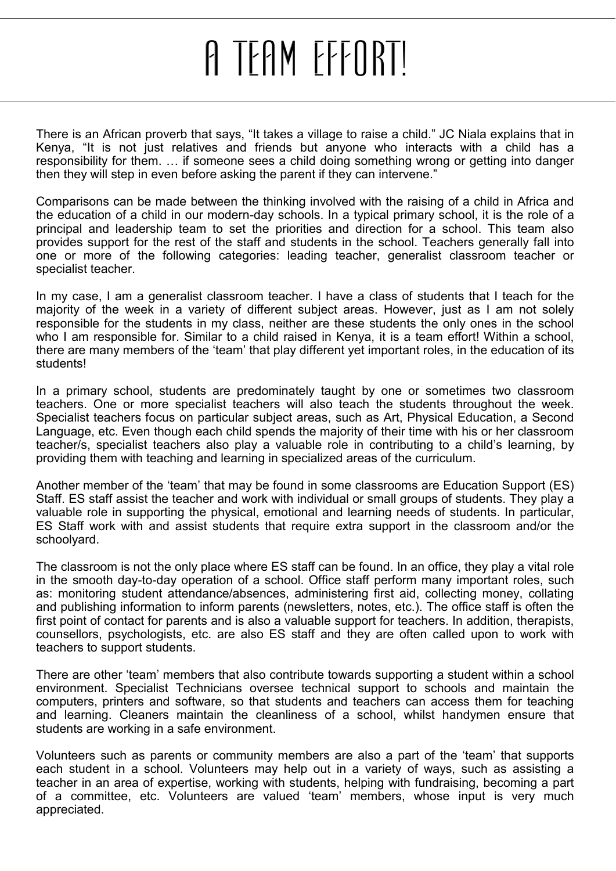## A TEAM EFFORT!

<span id="page-0-0"></span>There is an African proverb that says, "It takes a village to raise a child." JC Niala explains that in Kenya, "It is not just relatives and friends but anyone who interacts with a child has a responsibility for them. … if someone sees a child doing something wrong or getting into danger then they will step in even before asking the parent if they can intervene."

Comparisons can be made between the thinking involved with the raising of a child in Africa and the education of a child in our modern-day schools. In a typical primary school, it is the role of a principal and leadership team to set the priorities and direction for a school. This team also provides support for the rest of the staff and students in the school. Teachers generally fall into one or more of the following categories: leading teacher, generalist classroom teacher or specialist teacher.

In my case, I am a generalist classroom teacher. I have a class of students that I teach for the majority of the week in a variety of different subject areas. However, just as I am not solely responsible for the students in my class, neither are these students the only ones in the school who I am responsible for. Similar to a child raised in Kenya, it is a team effort! Within a school, there are many members of the "team" that play different yet important roles, in the education of its students!

In a primary school, students are predominately taught by one or sometimes two classroom teachers. One or more specialist teachers will also teach the students throughout the week. Specialist teachers focus on particular subject areas, such as Art, Physical Education, a Second Language, etc. Even though each child spends the majority of their time with his or her classroom teacher/s, specialist teachers also play a valuable role in contributing to a child"s learning, by providing them with teaching and learning in specialized areas of the curriculum.

Another member of the "team" that may be found in some classrooms are Education Support (ES) Staff. ES staff assist the teacher and work with individual or small groups of students. They play a valuable role in supporting the physical, emotional and learning needs of students. In particular, ES Staff work with and assist students that require extra support in the classroom and/or the schoolyard.

The classroom is not the only place where ES staff can be found. In an office, they play a vital role in the smooth day-to-day operation of a school. Office staff perform many important roles, such as: monitoring student attendance/absences, administering first aid, collecting money, collating and publishing information to inform parents (newsletters, notes, etc.). The office staff is often the first point of contact for parents and is also a valuable support for teachers. In addition, therapists, counsellors, psychologists, etc. are also ES staff and they are often called upon to work with teachers to support students.

There are other "team" members that also contribute towards supporting a student within a school environment. Specialist Technicians oversee technical support to schools and maintain the computers, printers and software, so that students and teachers can access them for teaching and learning. Cleaners maintain the cleanliness of a school, whilst handymen ensure that students are working in a safe environment.

Volunteers such as parents or community members are also a part of the "team" that supports each student in a school. Volunteers may help out in a variety of ways, such as assisting a teacher in an area of expertise, working with students, helping with fundraising, becoming a part of a committee, etc. Volunteers are valued "team" members, whose input is very much appreciated.